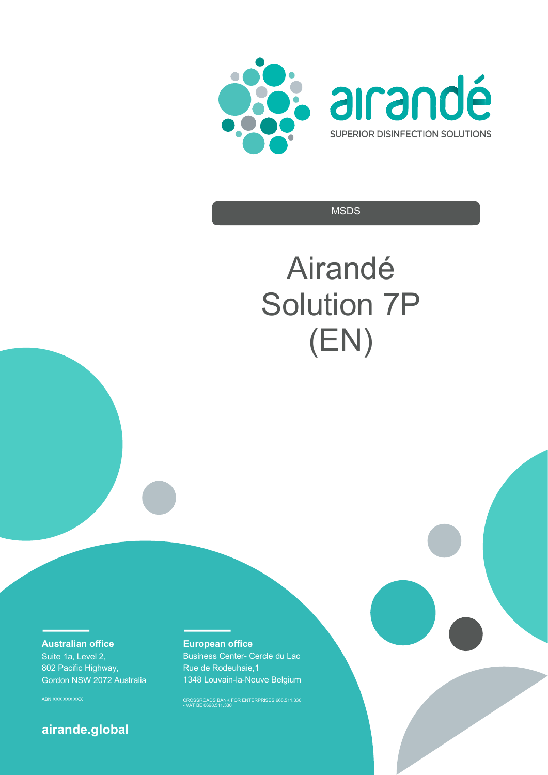



**MSDS** 

# Airandé Solution 7P (EN)

**Australian office** 

Suite 1a, Level 2, 802 Pacific Highway, Gordon NSW 2072 Australia

# **airande.global**

# **European office**

Business Center- Cercle du Lac Rue de Rodeuhaie,1 1348 Louvain-la-Neuve Belgium

ABN XXX XXX XXX CROSSROADS BANK FOR ENTERPRISES 668.511.330 - VAT BE 0668.511.330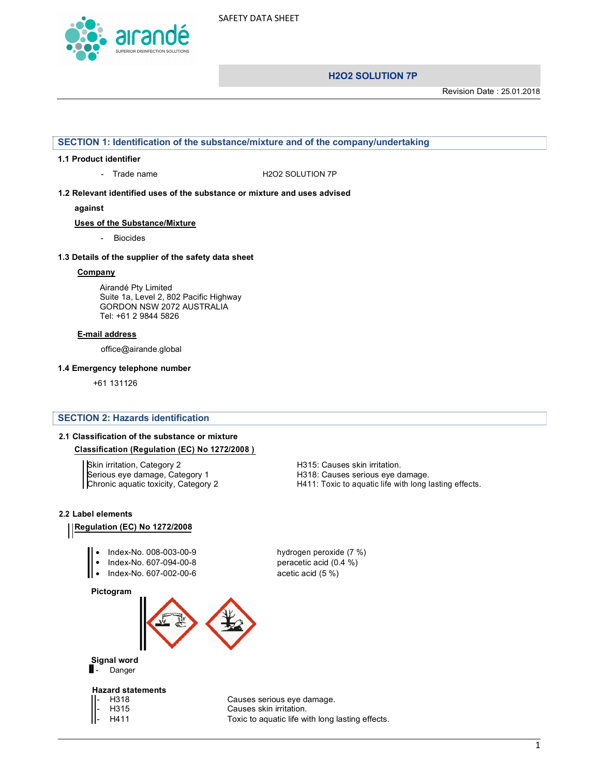

Revision Date : 25.01.2018

#### **SECTION 1: Identification of the substance/mixture and of the company/undertaking**

#### **1.1 Product identifier**

- Trade name H2O2 SOLUTION 7P

**1.2 Relevant identified uses of the substance or mixture and uses advised** 

**against** 

**Uses of the Substance/Mixture**

- Biocides

#### **1.3 Details of the supplier of the safety data sheet**

#### **Company**

Airandé Pty Limited Suite 1a, Level 2, 802 Pacific Highway GORDON NSW 2072 AUSTRALIA Tel: +61 2 9844 5826

#### **E-mail address**

office@airande.global

#### **1.4 Emergency telephone number**

+61 131126

#### **SECTION 2: Hazards identification**

#### **2.1 Classification of the substance or mixture**

#### **Classification (Regulation (EC) No 1272/2008 )**

Skin irritation, Category 2 **H315: Causes skin irritation**. Serious eye damage, Category 1 H318: Causes serious eye damage.<br>Chronic aquatic toxicity, Category 2 H411: Toxic to aquatic life with long l

H411: Toxic to aquatic life with long lasting effects.

#### **2.2 Label elements**

# **Regulation (EC) No 1272/2008**

- Index-No. 008-003-00-9 hydrogen peroxide (7 %)
- 
- 
- Index-No. 607-094-00-8 peracetic acid (0.4 %) • Index-No. 607-002-00-6 acetic acid (5 %)

**Pictogram**





#### **Hazard statements**

H318 Causes serious eye damage. H315 Causes skin irritation. H411 Toxic to aquatic life with long lasting effects.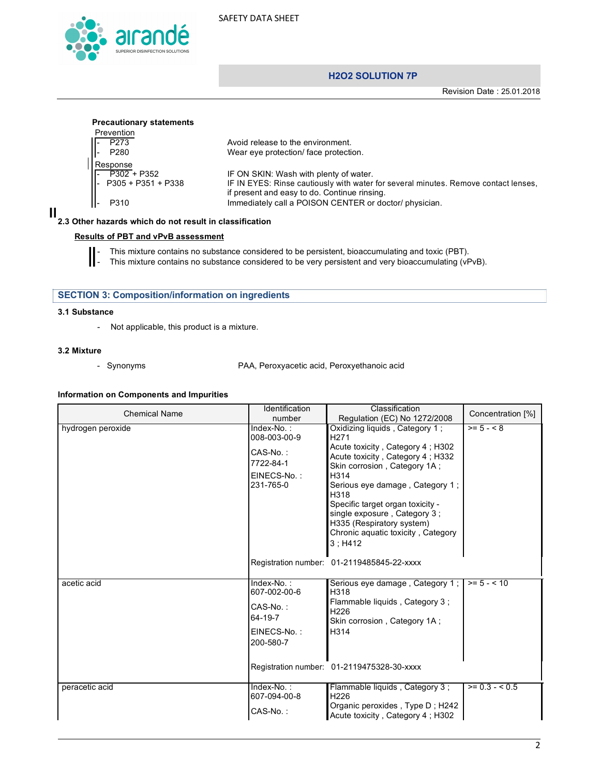

# **H2O2 SOLUTION 7P**

Revision Date : 25.01.2018

| Prevention                                                                        |                                                                                     |
|-----------------------------------------------------------------------------------|-------------------------------------------------------------------------------------|
|                                                                                   | Avoid release to the environment.                                                   |
| - P273<br>- P280<br>Response                                                      | Wear eye protection/ face protection.                                               |
|                                                                                   |                                                                                     |
|                                                                                   | IF ON SKIN: Wash with plenty of water.                                              |
| $\begin{array}{ l } \hline - & P302 + P352 \\ - & P305 + P351 + P338 \end{array}$ | IF IN EYES: Rinse cautiously with water for several minutes. Remove contact lenses, |
|                                                                                   | if present and easy to do. Continue rinsing.                                        |
| P310                                                                              | Immediately call a POISON CENTER or doctor/ physician.                              |

#### **2.3 Other hazards which do not result in classification**

# **Results of PBT and vPvB assessment**

- This mixture contains no substance considered to be persistent, bioaccumulating and toxic (PBT).<br>This mixture contains no substance considered to be very persistent and very bioaccumulating (vF
	- This mixture contains no substance considered to be very persistent and very bioaccumulating (vPvB).

# **SECTION 3: Composition/information on ingredients**

#### **3.1 Substance**

- Not applicable, this product is a mixture.

#### **3.2 Mixture**

- Synonyms PAA, Peroxyacetic acid, Peroxyethanoic acid

#### **Information on Components and Impurities**

| <b>Chemical Name</b> | Identification                                                                  | Classification                                                                                                                                                                                                                                                                                                                                                  | Concentration [%] |
|----------------------|---------------------------------------------------------------------------------|-----------------------------------------------------------------------------------------------------------------------------------------------------------------------------------------------------------------------------------------------------------------------------------------------------------------------------------------------------------------|-------------------|
|                      | number                                                                          | Regulation (EC) No 1272/2008                                                                                                                                                                                                                                                                                                                                    |                   |
| hydrogen peroxide    | Index-No.:<br>008-003-00-9<br>CAS-No.:<br>7722-84-1<br>EINECS-No.:<br>231-765-0 | Oxidizing liquids, Category 1;<br>H <sub>271</sub><br>Acute toxicity, Category 4; H302<br>Acute toxicity, Category 4: H332<br>Skin corrosion, Category 1A;<br>H314<br>Serious eye damage, Category 1;<br>H318<br>Specific target organ toxicity -<br>single exposure, Category 3;<br>H335 (Respiratory system)<br>Chronic aquatic toxicity, Category<br>3: H412 | $>= 5 - 8$        |
|                      |                                                                                 | Registration number: 01-2119485845-22-xxxx                                                                                                                                                                                                                                                                                                                      |                   |
| acetic acid          | Index-No.:<br>607-002-00-6<br>CAS-No.:<br>64-19-7<br>EINECS-No.:<br>200-580-7   | Serious eye damage, Category 1;<br>H318<br>Flammable liquids, Category 3;<br>H <sub>226</sub><br>Skin corrosion, Category 1A;<br>H314<br>Registration number: 01-2119475328-30-xxxx                                                                                                                                                                             | $>= 5 - < 10$     |
| peracetic acid       | Index-No.:<br>607-094-00-8<br>CAS-No.:                                          | Flammable liquids, Category 3;<br>H <sub>226</sub><br>Organic peroxides, Type D; H242<br>Acute toxicity, Category 4; H302                                                                                                                                                                                                                                       | $>= 0.3 - 0.5$    |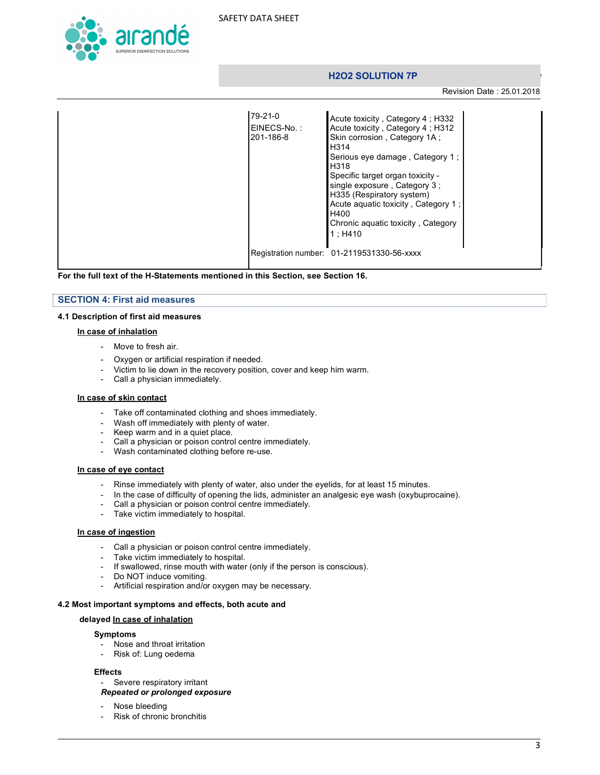

Revision Date : 25.01.2018

| 79-21-0<br>EINECS-No.:<br>201-186-8 | Acute toxicity, Category 4; H332<br>Acute toxicity, Category 4; H312<br>Skin corrosion, Category 1A ;<br>H <sub>3</sub> 14<br>Serious eye damage, Category 1;<br>H <sub>3</sub> 18<br>Specific target organ toxicity -<br>single exposure, Category 3:<br>H335 (Respiratory system)<br>Acute aguatic toxicity, Category 1:<br>H400<br>Chronic aquatic toxicity, Category<br>1: H410 |  |
|-------------------------------------|-------------------------------------------------------------------------------------------------------------------------------------------------------------------------------------------------------------------------------------------------------------------------------------------------------------------------------------------------------------------------------------|--|
|                                     | Registration number: 01-2119531330-56-xxxx                                                                                                                                                                                                                                                                                                                                          |  |

**For the full text of the H-Statements mentioned in this Section, see Section 16.**

#### **SECTION 4: First aid measures**

#### **4.1 Description of first aid measures**

#### **In case of inhalation**

- Move to fresh air.
- Oxygen or artificial respiration if needed.
- Victim to lie down in the recovery position, cover and keep him warm.
- Call a physician immediately.

#### **In case of skin contact**

- Take off contaminated clothing and shoes immediately.
- Wash off immediately with plenty of water.
- Keep warm and in a quiet place.
- Call a physician or poison control centre immediately.
- Wash contaminated clothing before re-use.

#### **In case of eye contact**

- Rinse immediately with plenty of water, also under the eyelids, for at least 15 minutes.
- In the case of difficulty of opening the lids, administer an analgesic eye wash (oxybuprocaine).
- Call a physician or poison control centre immediately.
- Take victim immediately to hospital.

#### **In case of ingestion**

- Call a physician or poison control centre immediately.
- Take victim immediately to hospital.
- If swallowed, rinse mouth with water (only if the person is conscious).
- Do NOT induce vomiting.
- Artificial respiration and/or oxygen may be necessary.

#### **4.2 Most important symptoms and effects, both acute and**

#### **delayed In case of inhalation**

#### **Symptoms**

- Nose and throat irritation
- Risk of: Lung oedema

#### **Effects**

- Severe respiratory irritant
- *Repeated or prolonged exposure*
- Nose bleeding
- Risk of chronic bronchitis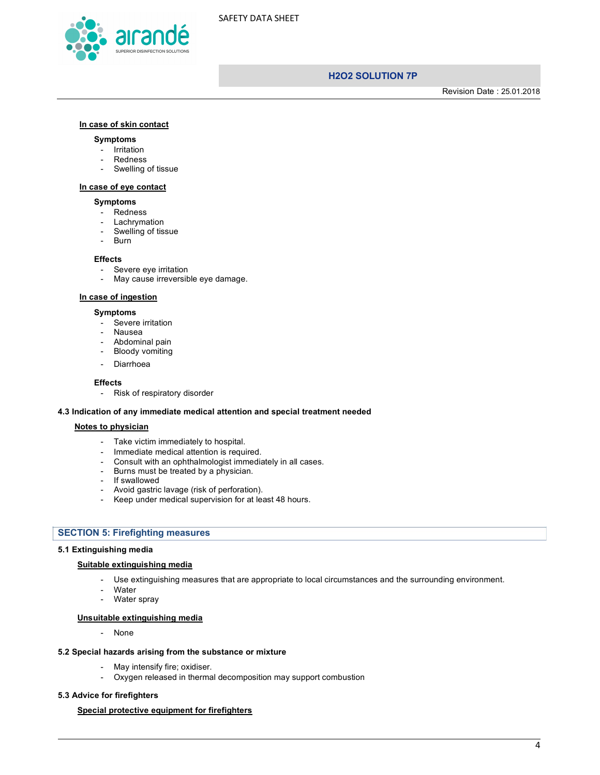



Revision Date : 25.01.2018

#### **In case of skin contact**

#### **Symptoms**

- Irritation
- Redness
- Swelling of tissue

#### **In case of eye contact**

#### **Symptoms**

- Redness
- **Lachrymation**
- Swelling of tissue
- **Burn**

#### **Effects**

- Severe eye irritation
- May cause irreversible eye damage.

#### **In case of ingestion**

#### **Symptoms**

- Severe irritation
- Nausea
- Abdominal pain
- Bloody vomiting
- Diarrhoea

#### **Effects**

- Risk of respiratory disorder

#### **4.3 Indication of any immediate medical attention and special treatment needed**

#### **Notes to physician**

- Take victim immediately to hospital.
- Immediate medical attention is required.
- Consult with an ophthalmologist immediately in all cases.
- Burns must be treated by a physician.
- If swallowed
- Avoid gastric lavage (risk of perforation).
- Keep under medical supervision for at least 48 hours.

# **SECTION 5: Firefighting measures**

#### **5.1 Extinguishing media**

#### **Suitable extinguishing media**

- Use extinguishing measures that are appropriate to local circumstances and the surrounding environment.
- Water
- Water spray

#### **Unsuitable extinguishing media**

- None

#### **5.2 Special hazards arising from the substance or mixture**

- May intensify fire; oxidiser.
- Oxygen released in thermal decomposition may support combustion

#### **5.3 Advice for firefighters**

#### **Special protective equipment for firefighters**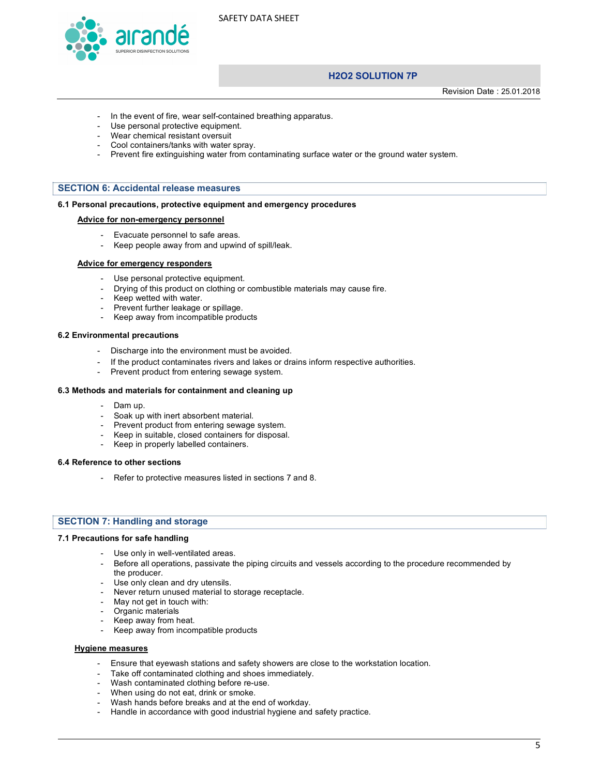

# **H2O2 SOLUTION 7P**

Revision Date : 25.01.2018

- In the event of fire, wear self-contained breathing apparatus.
- Use personal protective equipment.
- Wear chemical resistant oversuit
- Cool containers/tanks with water spray.<br>Prevent fire extinguishing water from co
- Prevent fire extinguishing water from contaminating surface water or the ground water system.

#### **SECTION 6: Accidental release measures**

#### **6.1 Personal precautions, protective equipment and emergency procedures**

#### **Advice for non-emergency personnel**

- Evacuate personnel to safe areas.
- Keep people away from and upwind of spill/leak.

#### **Advice for emergency responders**

- Use personal protective equipment.
- Drying of this product on clothing or combustible materials may cause fire.
- Keep wetted with water.
- Prevent further leakage or spillage.
- Keep away from incompatible products

#### **6.2 Environmental precautions**

- Discharge into the environment must be avoided.
- If the product contaminates rivers and lakes or drains inform respective authorities.
- Prevent product from entering sewage system.

#### **6.3 Methods and materials for containment and cleaning up**

- Dam up.
- Soak up with inert absorbent material.
- Prevent product from entering sewage system.
- Keep in suitable, closed containers for disposal.
- Keep in properly labelled containers.

#### **6.4 Reference to other sections**

- Refer to protective measures listed in sections 7 and 8.

#### **SECTION 7: Handling and storage**

#### **7.1 Precautions for safe handling**

- Use only in well-ventilated areas.
- Before all operations, passivate the piping circuits and vessels according to the procedure recommended by the producer.
- Use only clean and dry utensils.
- Never return unused material to storage receptacle.
- May not get in touch with:
- Organic materials
- Keep away from heat.
- Keep away from incompatible products

#### **Hygiene measures**

- Ensure that eyewash stations and safety showers are close to the workstation location.
- Take off contaminated clothing and shoes immediately.
- Wash contaminated clothing before re-use.
- When using do not eat, drink or smoke.
- Wash hands before breaks and at the end of workday.
- Handle in accordance with good industrial hygiene and safety practice.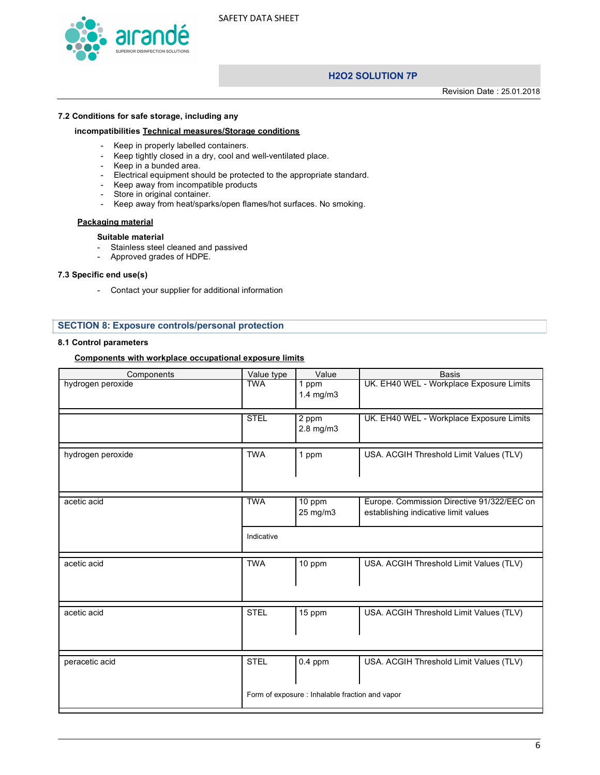

**H2O2 SOLUTION 7P**

Revision Date : 25.01.2018

#### **7.2 Conditions for safe storage, including any**

#### **incompatibilities Technical measures/Storage conditions**

- Keep in properly labelled containers.
- Keep tightly closed in a dry, cool and well-ventilated place.
- Keep in a bunded area.
- Electrical equipment should be protected to the appropriate standard.
- Keep away from incompatible products
- Store in original container.
- Keep away from heat/sparks/open flames/hot surfaces. No smoking.

#### **Packaging material**

#### **Suitable material**

- Stainless steel cleaned and passived
- Approved grades of HDPE.

#### **7.3 Specific end use(s)**

- Contact your supplier for additional information

#### **SECTION 8: Exposure controls/personal protection**

#### **8.1 Control parameters**

#### **Components with workplace occupational exposure limits**

| Components        | Value type  | Value                                           | <b>Basis</b>                                                                       |
|-------------------|-------------|-------------------------------------------------|------------------------------------------------------------------------------------|
| hydrogen peroxide | <b>TWA</b>  | 1 ppm<br>1.4 mg/m3                              | UK. EH40 WEL - Workplace Exposure Limits                                           |
|                   | <b>STEL</b> | $\overline{2}$ ppm<br>2.8 mg/m3                 | UK. EH40 WEL - Workplace Exposure Limits                                           |
| hydrogen peroxide | <b>TWA</b>  | 1 ppm                                           | USA. ACGIH Threshold Limit Values (TLV)                                            |
| acetic acid       | <b>TWA</b>  | 10 ppm<br>25 mg/m3                              | Europe. Commission Directive 91/322/EEC on<br>establishing indicative limit values |
|                   | Indicative  |                                                 |                                                                                    |
| acetic acid       | <b>TWA</b>  | 10 ppm                                          | USA. ACGIH Threshold Limit Values (TLV)                                            |
| acetic acid       | <b>STEL</b> | 15 ppm                                          | USA. ACGIH Threshold Limit Values (TLV)                                            |
| peracetic acid    | <b>STEL</b> | $0.4$ ppm                                       | USA. ACGIH Threshold Limit Values (TLV)                                            |
|                   |             | Form of exposure : Inhalable fraction and vapor |                                                                                    |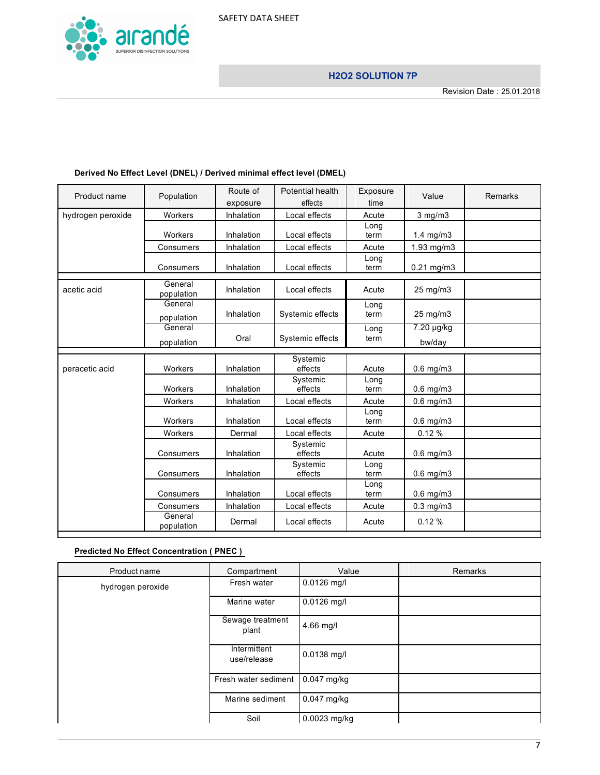

| Product name      | Population            | Route of<br>exposure | Potential health<br>effects | Exposure<br>time | Value                | Remarks |
|-------------------|-----------------------|----------------------|-----------------------------|------------------|----------------------|---------|
| hydrogen peroxide | Workers               | Inhalation           | Local effects               | Acute            | $3$ mg/m $3$         |         |
|                   | Workers               | Inhalation           | Local effects               | Long<br>term     | $1.4 \text{ mg/m}$ 3 |         |
|                   | Consumers             | Inhalation           | Local effects               | Acute            | 1.93 mg/m3           |         |
|                   | Consumers             | Inhalation           | Local effects               | Long<br>term     | $0.21$ mg/m $3$      |         |
| acetic acid       | General<br>population | Inhalation           | Local effects               | Acute            | 25 mg/m3             |         |
|                   | General<br>population | Inhalation           | Systemic effects            | Long<br>term     | 25 mg/m3             |         |
|                   | General<br>population | Oral                 | Systemic effects            | Long<br>term     | 7.20 µg/kg<br>bw/day |         |
| peracetic acid    | Workers               | Inhalation           | Systemic<br>effects         | Acute            | $0.6$ mg/m $3$       |         |
|                   | Workers               | Inhalation           | Systemic<br>effects         | Long<br>term     | $0.6$ mg/m $3$       |         |
|                   | Workers               | Inhalation           | Local effects               | Acute            | $0.6$ mg/m $3$       |         |
|                   | Workers               | Inhalation           | Local effects               | Long<br>term     | $0.6$ mg/m $3$       |         |
|                   | Workers               | Dermal               | Local effects               | Acute            | 0.12%                |         |
|                   | Consumers             | Inhalation           | Systemic<br>effects         | Acute            | $0.6$ mg/m $3$       |         |
|                   | Consumers             | Inhalation           | Systemic<br>effects         | Long<br>term     | $0.6$ mg/m $3$       |         |
|                   | Consumers             | Inhalation           | Local effects               | Long<br>term     | $0.6$ mg/m $3$       |         |
|                   | Consumers             | Inhalation           | Local effects               | Acute            | $0.3$ mg/m $3$       |         |
|                   | General<br>population | Dermal               | Local effects               | Acute            | 0.12%                |         |

# **Derived No Effect Level (DNEL) / Derived minimal effect level (DMEL)**

# **Predicted No Effect Concentration ( PNEC )**

| Product name      | Compartment                 | Value         | <b>Remarks</b> |
|-------------------|-----------------------------|---------------|----------------|
| hydrogen peroxide | Fresh water                 | $0.0126$ mg/l |                |
|                   | Marine water                | $0.0126$ mg/l |                |
|                   | Sewage treatment<br>plant   | 4.66 mg/l     |                |
|                   | Intermittent<br>use/release | $0.0138$ mg/l |                |
|                   | Fresh water sediment        | $0.047$ mg/kg |                |
|                   | Marine sediment             | $0.047$ mg/kg |                |
|                   | Soil                        | 0.0023 mg/kg  |                |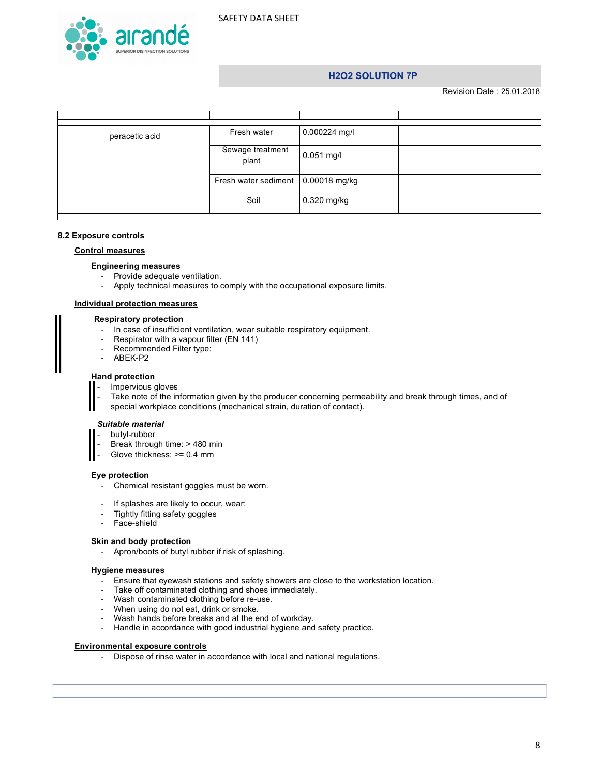

Revision Date : 25.01.2018

| peracetic acid | Fresh water                          | 0.000224 mg/l |  |
|----------------|--------------------------------------|---------------|--|
|                | Sewage treatment<br>plant            | $0.051$ mg/l  |  |
|                | Fresh water sediment   0.00018 mg/kg |               |  |
|                | Soil                                 | 0.320 mg/kg   |  |

#### **8.2 Exposure controls**

#### **Control measures**

#### **Engineering measures**

- Provide adequate ventilation.
- Apply technical measures to comply with the occupational exposure limits.

#### **Individual protection measures**

#### **Respiratory protection**

- In case of insufficient ventilation, wear suitable respiratory equipment.
- Respirator with a vapour filter (EN 141)<br>- Recommended Filter type:
- Recommended Filter type:
- ABEK-P2

#### **Hand protection**

Impervious gloves

Take note of the information given by the producer concerning permeability and break through times, and of special workplace conditions (mechanical strain, duration of contact).

#### *Suitable material*

- butyl-rubber Break through time: > 480 min
- Glove thickness: >= 0.4 mm

#### **Eye protection**

- Chemical resistant goggles must be worn.
- If splashes are likely to occur, wear:
- Tightly fitting safety goggles
- Face-shield

#### **Skin and body protection**

- Apron/boots of butyl rubber if risk of splashing.

#### **Hygiene measures**

- Ensure that eyewash stations and safety showers are close to the workstation location.
- Take off contaminated clothing and shoes immediately.
- Wash contaminated clothing before re-use.
- When using do not eat, drink or smoke.
- Wash hands before breaks and at the end of workday.
- Handle in accordance with good industrial hygiene and safety practice.

#### **Environmental exposure controls**

- Dispose of rinse water in accordance with local and national regulations.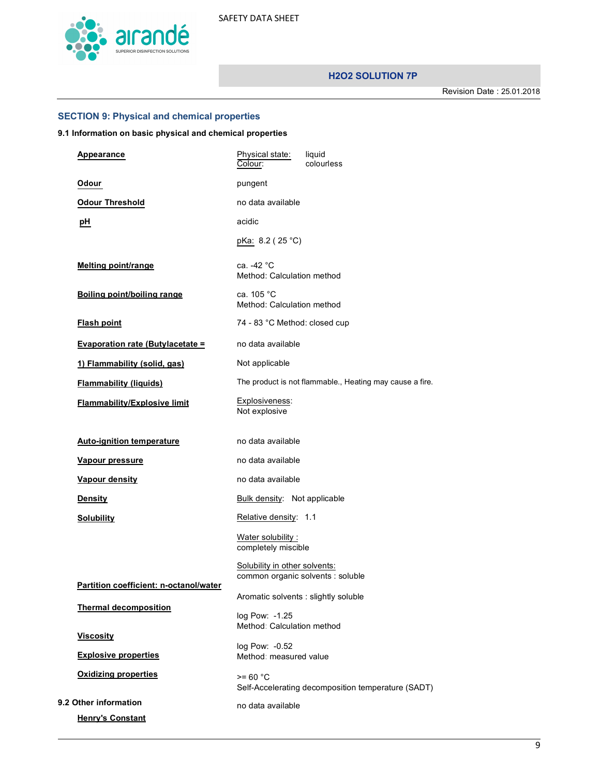

Revision Date : 25.01.2018

# **SECTION 9: Physical and chemical properties**

# **9.1 Information on basic physical and chemical properties**

| Appearance                              | Physical state:<br>liquid<br>Colour:<br>colourless                 |
|-----------------------------------------|--------------------------------------------------------------------|
| Odour                                   | pungent                                                            |
| <b>Odour Threshold</b>                  | no data available                                                  |
| pH                                      | acidic                                                             |
|                                         | pKa: 8.2 (25 °C)                                                   |
| <b>Melting point/range</b>              | ca. -42 °C<br>Method: Calculation method                           |
| <b>Boiling point/boiling range</b>      | ca. 105 °C<br>Method: Calculation method                           |
| <b>Flash point</b>                      | 74 - 83 °C Method: closed cup                                      |
| <b>Evaporation rate (Butylacetate =</b> | no data available                                                  |
| 1) Flammability (solid, gas)            | Not applicable                                                     |
| <b>Flammability (liquids)</b>           | The product is not flammable., Heating may cause a fire.           |
| <b>Flammability/Explosive limit</b>     | Explosiveness:<br>Not explosive                                    |
| <b>Auto-ignition temperature</b>        | no data available                                                  |
| <u>Vapour pressure</u>                  | no data available                                                  |
| Vapour density                          | no data available                                                  |
| <b>Density</b>                          | Bulk density: Not applicable                                       |
| <b>Solubility</b>                       | Relative density: 1.1                                              |
|                                         | Water solubility:<br>completely miscible                           |
| Partition coefficient: n-octanol/water  | Solubility in other solvents:<br>common organic solvents : soluble |
|                                         | Aromatic solvents : slightly soluble                               |
| <b>Thermal decomposition</b>            | log Pow: -1.25<br>Method: Calculation method                       |
| <b>Viscosity</b>                        | log Pow: -0.52                                                     |
| <b>Explosive properties</b>             | Method: measured value                                             |
| <b>Oxidizing properties</b>             | $>= 60 °C$<br>Self-Accelerating decomposition temperature (SADT)   |
| 9.2 Other information                   | no data available                                                  |
| <b>Henry's Constant</b>                 |                                                                    |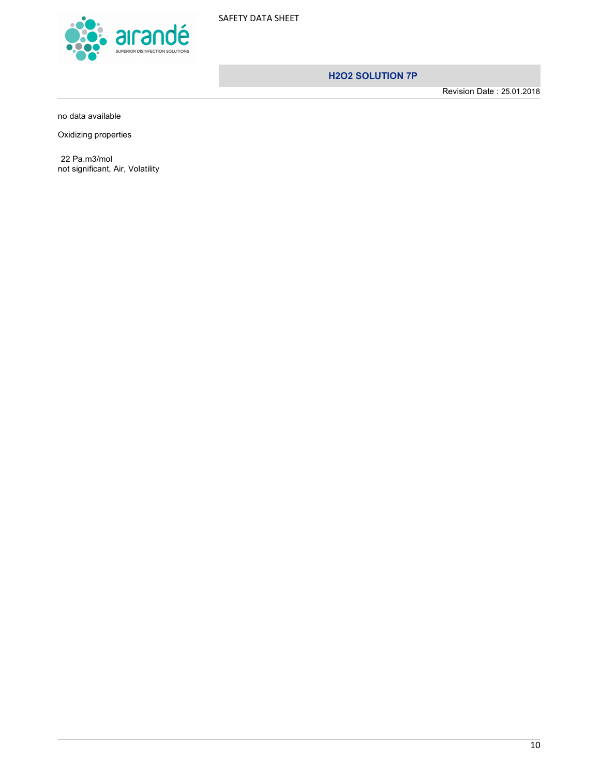

Revision Date : 25.01.2018

no data available

Oxidizing properties

22 Pa.m3/mol not significant, Air, Volatility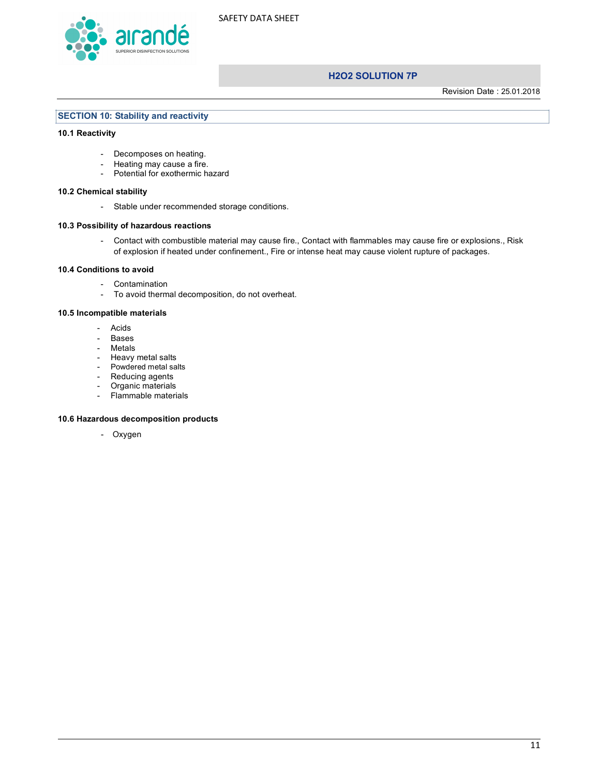

Revision Date : 25.01.2018

#### **SECTION 10: Stability and reactivity**

#### **10.1 Reactivity**

- Decomposes on heating.
- Heating may cause a fire.
- Potential for exothermic hazard

#### **10.2 Chemical stability**

- Stable under recommended storage conditions.

#### **10.3 Possibility of hazardous reactions**

- Contact with combustible material may cause fire., Contact with flammables may cause fire or explosions., Risk of explosion if heated under confinement., Fire or intense heat may cause violent rupture of packages.

#### **10.4 Conditions to avoid**

- Contamination
- To avoid thermal decomposition, do not overheat.

#### **10.5 Incompatible materials**

- Acids
- Bases
- Metals
- Heavy metal salts
- Powdered metal salts
- Reducing agents
- Organic materials
- Flammable materials

#### **10.6 Hazardous decomposition products**

- Oxygen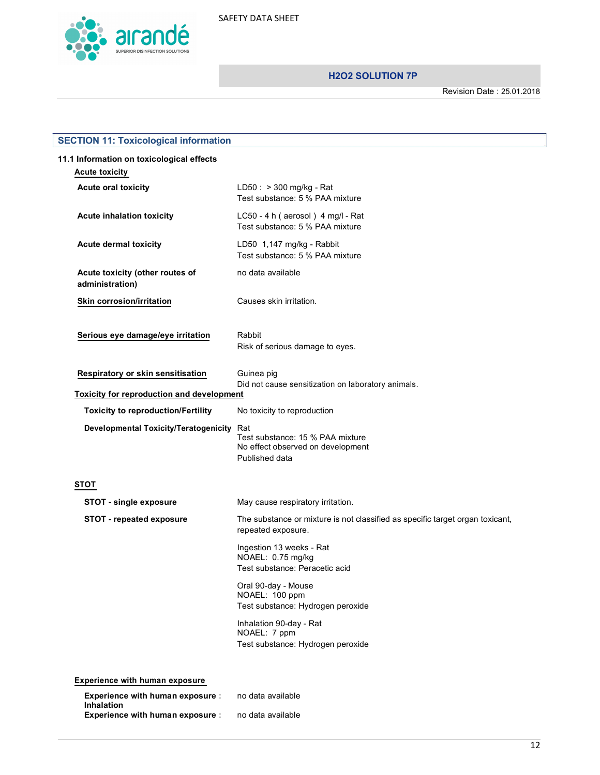

Revision Date : 25.01.2018

| <b>SECTION 11: Toxicological information</b>                                          |                                                                                                |  |  |
|---------------------------------------------------------------------------------------|------------------------------------------------------------------------------------------------|--|--|
| 11.1 Information on toxicological effects<br><b>Acute toxicity</b>                    |                                                                                                |  |  |
| <b>Acute oral toxicity</b>                                                            | $LD50: > 300$ mg/kg - Rat<br>Test substance: 5 % PAA mixture                                   |  |  |
| <b>Acute inhalation toxicity</b>                                                      | LC50 - 4 h (aerosol) 4 mg/l - Rat<br>Test substance: 5 % PAA mixture                           |  |  |
| <b>Acute dermal toxicity</b>                                                          | LD50 1,147 mg/kg - Rabbit<br>Test substance: 5 % PAA mixture                                   |  |  |
| Acute toxicity (other routes of<br>administration)                                    | no data available                                                                              |  |  |
| Skin corrosion/irritation                                                             | Causes skin irritation.                                                                        |  |  |
| Serious eye damage/eye irritation                                                     | Rabbit<br>Risk of serious damage to eyes.                                                      |  |  |
| Respiratory or skin sensitisation<br><b>Toxicity for reproduction and development</b> | Guinea pig<br>Did not cause sensitization on laboratory animals.                               |  |  |
| <b>Toxicity to reproduction/Fertility</b>                                             | No toxicity to reproduction                                                                    |  |  |
| <b>Developmental Toxicity/Teratogenicity</b>                                          | Rat<br>Test substance: 15 % PAA mixture<br>No effect observed on development<br>Published data |  |  |
| <b>STOT</b>                                                                           |                                                                                                |  |  |
| <b>STOT - single exposure</b>                                                         | May cause respiratory irritation.                                                              |  |  |
| <b>STOT - repeated exposure</b>                                                       | The substance or mixture is not classified as specific target organ toxicant,                  |  |  |
|                                                                                       | repeated exposure.                                                                             |  |  |
|                                                                                       | Ingestion 13 weeks - Rat<br>NOAEL: 0.75 mg/kg<br>Test substance: Peracetic acid                |  |  |
|                                                                                       | Oral 90-day - Mouse<br>NOAEL: 100 ppm<br>Test substance: Hydrogen peroxide                     |  |  |
|                                                                                       | Inhalation 90-day - Rat<br>NOAEL: 7 ppm<br>Test substance: Hydrogen peroxide                   |  |  |
| <b>Experience with human exposure</b>                                                 |                                                                                                |  |  |
| <b>Experience with human exposure:</b><br><b>Inhalation</b>                           | no data available                                                                              |  |  |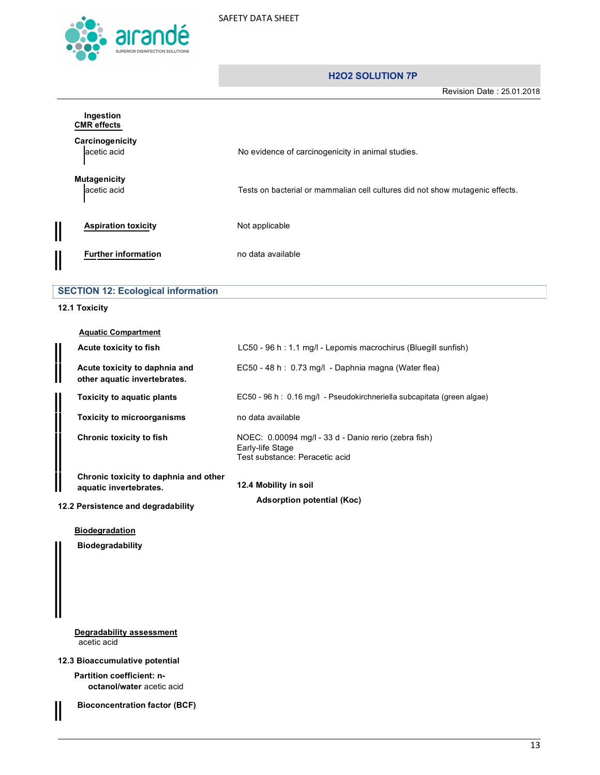

Revision Date : 25.01.2018

|                         | Ingestion<br><b>CMR</b> effects           |                                                                               |  |  |  |
|-------------------------|-------------------------------------------|-------------------------------------------------------------------------------|--|--|--|
|                         | Carcinogenicity<br>acetic acid            | No evidence of carcinogenicity in animal studies.                             |  |  |  |
|                         | <b>Mutagenicity</b><br>acetic acid        | Tests on bacterial or mammalian cell cultures did not show mutagenic effects. |  |  |  |
| $\overline{\mathbb{I}}$ | <b>Aspiration toxicity</b>                | Not applicable                                                                |  |  |  |
| $\overline{\mathsf{I}}$ | <b>Further information</b>                | no data available                                                             |  |  |  |
|                         | <b>SECTION 12: Ecological information</b> |                                                                               |  |  |  |

# **12.1 Toxicity**

| <b>Aquatic Compartment</b>                                      |                                                                                                            |
|-----------------------------------------------------------------|------------------------------------------------------------------------------------------------------------|
| Acute toxicity to fish                                          | LC50 - 96 h: 1.1 mg/l - Lepomis macrochirus (Bluegill sunfish)                                             |
| Acute toxicity to daphnia and<br>other aquatic invertebrates.   | EC50 - 48 h : 0.73 mg/l - Daphnia magna (Water flea)                                                       |
| Toxicity to aquatic plants                                      | EC50 - 96 h : 0.16 mg/l - Pseudokirchneriella subcapitata (green algae)                                    |
| <b>Toxicity to microorganisms</b>                               | no data available                                                                                          |
| Chronic toxicity to fish                                        | NOEC: 0.00094 mg/l - 33 d - Danio rerio (zebra fish)<br>Early-life Stage<br>Test substance: Peracetic acid |
| Chronic toxicity to daphnia and other<br>aquatic invertebrates. | 12.4 Mobility in soil                                                                                      |
| 12.2 Persistence and degradability                              | <b>Adsorption potential (Koc)</b>                                                                          |
| <b>Biodegradation</b>                                           |                                                                                                            |

**Biodegradability**

**Degradability assessment** acetic acid

**12.3 Bioaccumulative potential**

II

**Partition coefficient: noctanol/water** acetic acid

**Bioconcentration factor (BCF)**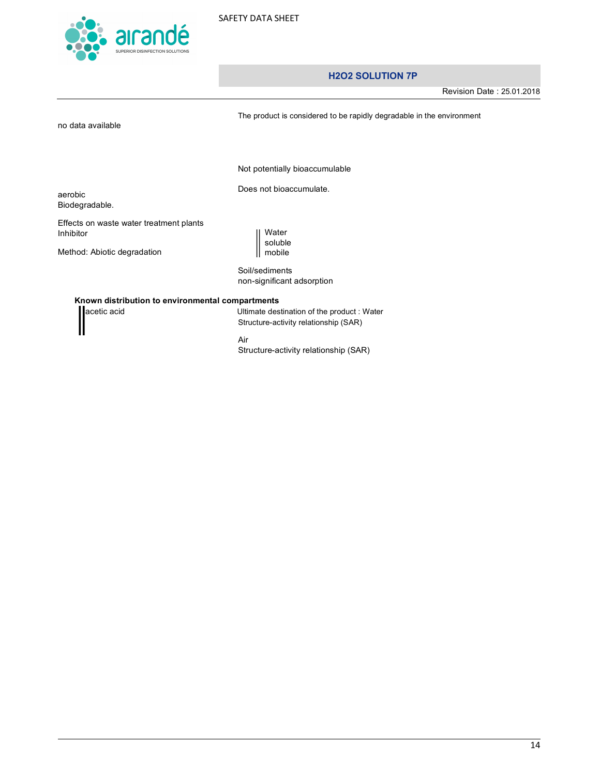

Revision Date : 25.01.2018

no data available

The product is considered to be rapidly degradable in the environment

Not potentially bioaccumulable

Does not bioaccumulate.

aerobic Biodegradable.

Effects on waste water treatment plants Inhibitor

Method: Abiotic degradation

Water soluble mobile

Soil/sediments non-significant adsorption

#### **Known distribution to environmental compartments**

acetic acid **Acid** 2013 **19 acetic acid** Ultimate destination of the product : Water Structure-activity relationship (SAR)

Air

Structure-activity relationship (SAR)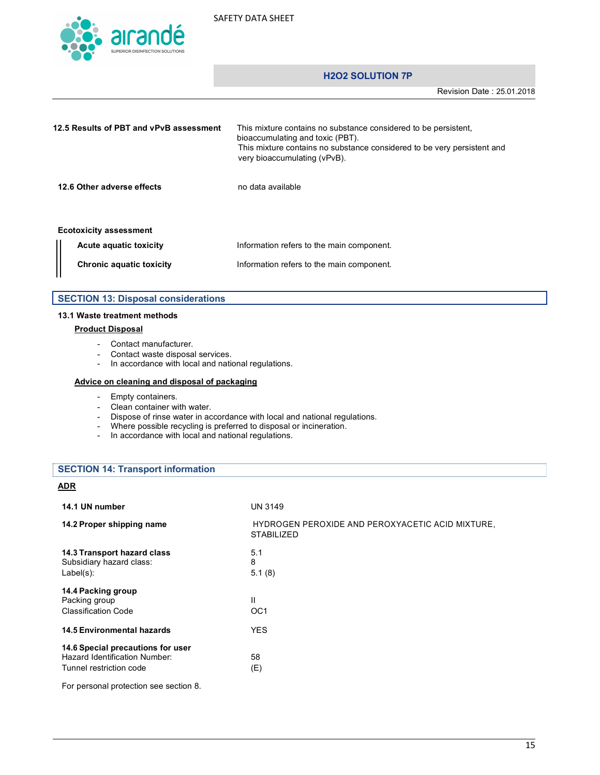

Revision Date : 25.01.2018

| 12.5 Results of PBT and vPvB assessment |                                 | This mixture contains no substance considered to be persistent.<br>bioaccumulating and toxic (PBT).<br>This mixture contains no substance considered to be very persistent and<br>very bioaccumulating (vPvB). |
|-----------------------------------------|---------------------------------|----------------------------------------------------------------------------------------------------------------------------------------------------------------------------------------------------------------|
|                                         | 12.6 Other adverse effects      | no data available                                                                                                                                                                                              |
|                                         | <b>Ecotoxicity assessment</b>   |                                                                                                                                                                                                                |
|                                         | Acute aguatic toxicity          | Information refers to the main component.                                                                                                                                                                      |
|                                         | <b>Chronic aquatic toxicity</b> | Information refers to the main component.                                                                                                                                                                      |

|  |  |  | <b>SECTION 13: Disposal considerations</b> |
|--|--|--|--------------------------------------------|
|--|--|--|--------------------------------------------|

#### **13.1 Waste treatment methods**

#### **Product Disposal**

- Contact manufacturer.
- Contact waste disposal services.
- In accordance with local and national regulations.

#### **Advice on cleaning and disposal of packaging**

- Empty containers.
- Clean container with water.
- Dispose of rinse water in accordance with local and national regulations.
- Where possible recycling is preferred to disposal or incineration.
- In accordance with local and national regulations.

#### **SECTION 14: Transport information**

#### **ADR**

| 14.1 UN number                                                                                | <b>UN 3149</b>                                                        |
|-----------------------------------------------------------------------------------------------|-----------------------------------------------------------------------|
| 14.2 Proper shipping name                                                                     | HYDROGEN PEROXIDE AND PEROXYACETIC ACID MIXTURE,<br><b>STABILIZED</b> |
| 14.3 Transport hazard class<br>Subsidiary hazard class:<br>$Label(s)$ :                       | 5.1<br>8<br>5.1(8)                                                    |
| 14.4 Packing group<br>Packing group<br>Classification Code                                    | $\mathbf{II}$<br>OC <sub>1</sub>                                      |
| <b>14.5 Environmental hazards</b>                                                             | <b>YES</b>                                                            |
| 14.6 Special precautions for user<br>Hazard Identification Number:<br>Tunnel restriction code | 58<br>(E)                                                             |
| For personal protection see section 8.                                                        |                                                                       |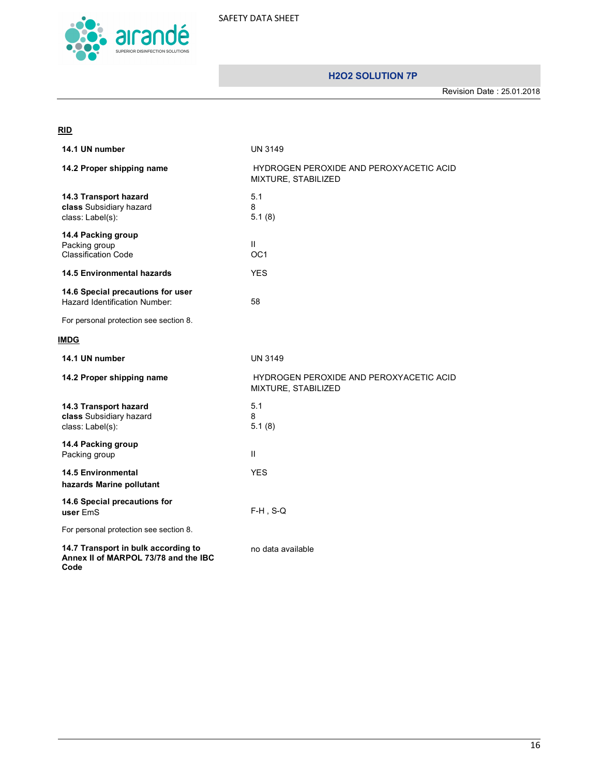

Revision Date : 25.01.2018

# **RID**

| 14.1 UN number                                                                      | <b>UN 3149</b>                                                 |  |
|-------------------------------------------------------------------------------------|----------------------------------------------------------------|--|
| 14.2 Proper shipping name                                                           | HYDROGEN PEROXIDE AND PEROXYACETIC ACID<br>MIXTURE, STABILIZED |  |
| 14.3 Transport hazard<br>class Subsidiary hazard<br>class: Label(s):                | 5.1<br>8<br>5.1(8)                                             |  |
| 14.4 Packing group<br>Packing group<br><b>Classification Code</b>                   | Ш.<br>OC <sub>1</sub>                                          |  |
| <b>14.5 Environmental hazards</b>                                                   | <b>YES</b>                                                     |  |
| 14.6 Special precautions for user<br>Hazard Identification Number:                  | 58                                                             |  |
| For personal protection see section 8.                                              |                                                                |  |
| IMDG                                                                                |                                                                |  |
| 14.1 UN number                                                                      | <b>UN 3149</b>                                                 |  |
| 14.2 Proper shipping name                                                           | HYDROGEN PEROXIDE AND PEROXYACETIC ACID<br>MIXTURE, STABILIZED |  |
| 14.3 Transport hazard<br>class Subsidiary hazard<br>class: Label(s):                | 5.1<br>8<br>5.1(8)                                             |  |
| 14.4 Packing group<br>Packing group                                                 | $\mathbf{II}$                                                  |  |
| <b>14.5 Environmental</b><br>hazards Marine pollutant                               | <b>YES</b>                                                     |  |
| 14.6 Special precautions for<br>user EmS                                            | $F-H$ , S-Q                                                    |  |
| For personal protection see section 8.                                              |                                                                |  |
| 14.7 Transport in bulk according to<br>Annex II of MARPOL 73/78 and the IBC<br>Code | no data available                                              |  |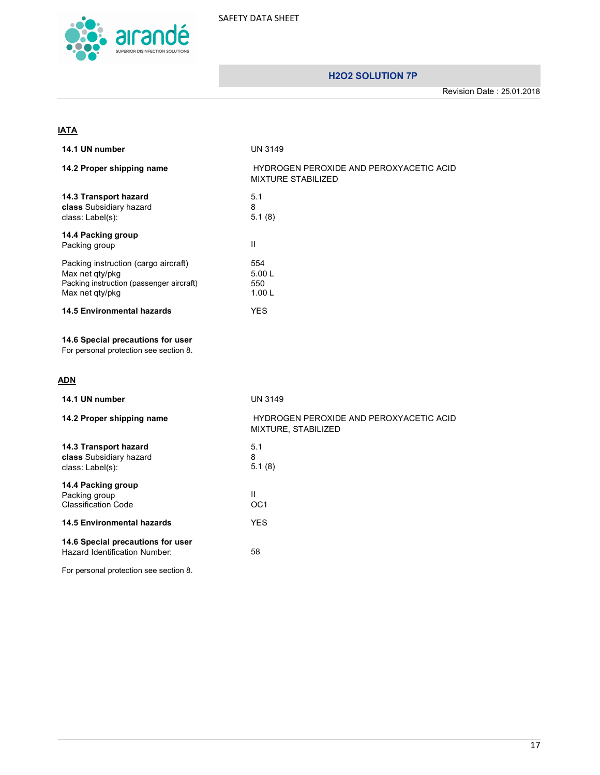

Revision Date : 25.01.2018

# **IATA**

| 14.1 UN number                                                                                                         | UN 3149                                                              |
|------------------------------------------------------------------------------------------------------------------------|----------------------------------------------------------------------|
| 14.2 Proper shipping name                                                                                              | HYDROGEN PEROXIDE AND PEROXYACETIC ACID<br><b>MIXTURE STABILIZED</b> |
| 14.3 Transport hazard<br>class Subsidiary hazard<br>class: Label(s):                                                   | 5.1<br>8<br>5.1(8)                                                   |
| 14.4 Packing group<br>Packing group                                                                                    | $\mathbf{II}$                                                        |
| Packing instruction (cargo aircraft)<br>Max net qty/pkg<br>Packing instruction (passenger aircraft)<br>Max net qty/pkg | 554<br>5.00L<br>550<br>1.00L                                         |
| <b>14.5 Environmental hazards</b>                                                                                      | <b>YES</b>                                                           |
| 14.6 Special precautions for user<br>For personal protection see section 8.                                            |                                                                      |
| <b>ADN</b>                                                                                                             |                                                                      |
|                                                                                                                        |                                                                      |
| 14.1 UN number                                                                                                         | <b>UN 3149</b>                                                       |
| 14.2 Proper shipping name                                                                                              | HYDROGEN PEROXIDE AND PEROXYACETIC ACID<br>MIXTURE, STABILIZED       |
| 14.3 Transport hazard<br>class Subsidiary hazard<br>class: Label(s):                                                   | 5.1<br>8<br>5.1(8)                                                   |
| 14.4 Packing group<br>Packing group<br><b>Classification Code</b>                                                      | $\mathbf{II}$<br>OC <sub>1</sub>                                     |
| <b>14.5 Environmental hazards</b>                                                                                      | <b>YES</b>                                                           |
| 14.6 Special precautions for user<br>Hazard Identification Number:                                                     | 58                                                                   |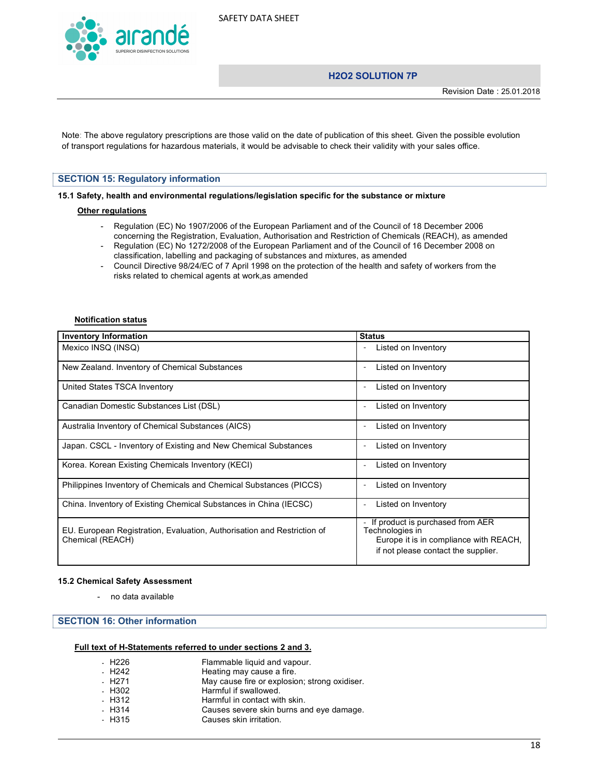

# **H2O2 SOLUTION 7P**

Note: The above regulatory prescriptions are those valid on the date of publication of this sheet. Given the possible evolution of transport regulations for hazardous materials, it would be advisable to check their validity with your sales office.

#### **SECTION 15: Regulatory information**

**15.1 Safety, health and environmental regulations/legislation specific for the substance or mixture**

#### **Other regulations**

- Regulation (EC) No 1907/2006 of the European Parliament and of the Council of 18 December 2006 concerning the Registration, Evaluation, Authorisation and Restriction of Chemicals (REACH), as amended
- Regulation (EC) No 1272/2008 of the European Parliament and of the Council of 16 December 2008 on classification, labelling and packaging of substances and mixtures, as amended
- Council Directive 98/24/EC of 7 April 1998 on the protection of the health and safety of workers from the risks related to chemical agents at work,as amended

#### **Notification status**

| <b>Inventory Information</b>                                                                | <b>Status</b>                                                                                                                        |
|---------------------------------------------------------------------------------------------|--------------------------------------------------------------------------------------------------------------------------------------|
| Mexico INSQ (INSQ)                                                                          | Listed on Inventory                                                                                                                  |
| New Zealand. Inventory of Chemical Substances                                               | Listed on Inventory                                                                                                                  |
| United States TSCA Inventory                                                                | Listed on Inventory<br>$\overline{\phantom{0}}$                                                                                      |
| Canadian Domestic Substances List (DSL)                                                     | Listed on Inventory<br>$\overline{\phantom{0}}$                                                                                      |
| Australia Inventory of Chemical Substances (AICS)                                           | Listed on Inventory                                                                                                                  |
| Japan. CSCL - Inventory of Existing and New Chemical Substances                             | Listed on Inventory                                                                                                                  |
| Korea. Korean Existing Chemicals Inventory (KECI)                                           | Listed on Inventory                                                                                                                  |
| Philippines Inventory of Chemicals and Chemical Substances (PICCS)                          | Listed on Inventory                                                                                                                  |
| China. Inventory of Existing Chemical Substances in China (IECSC)                           | Listed on Inventory                                                                                                                  |
| EU. European Registration, Evaluation, Authorisation and Restriction of<br>Chemical (REACH) | If product is purchased from AER<br>Technologies in<br>Europe it is in compliance with REACH,<br>if not please contact the supplier. |

#### **15.2 Chemical Safety Assessment**

- no data available

# **SECTION 16: Other information**

#### **Full text of H-Statements referred to under sections 2 and 3.**

| - H226              | Flammable liquid and vapour.                  |
|---------------------|-----------------------------------------------|
| $-H242$             | Heating may cause a fire.                     |
| - H <sub>2</sub> 71 | May cause fire or explosion; strong oxidiser. |
| - H302              | Harmful if swallowed.                         |
| - H312              | Harmful in contact with skin.                 |
| $- H314$            | Causes severe skin burns and eye damage.      |
| - H315              | Causes skin irritation.                       |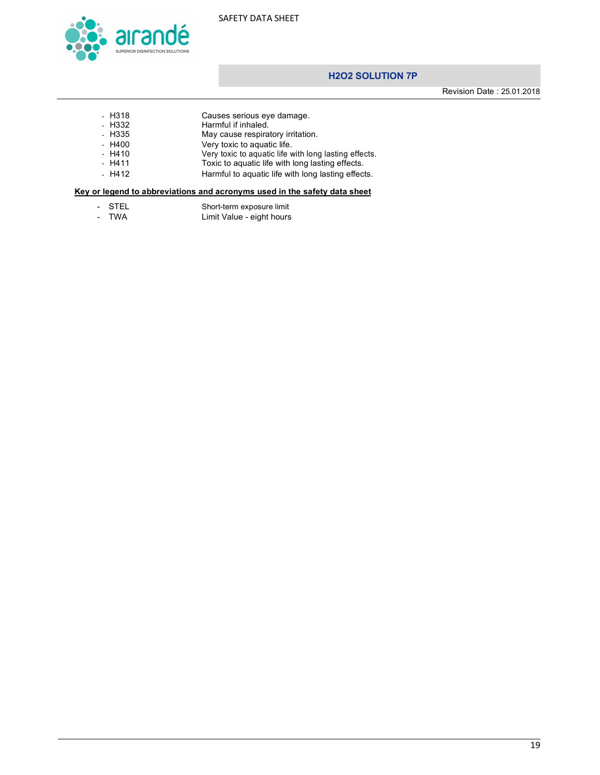

Revision Date : 25.01.2018

- H318 Causes serious eye damage.<br>- H332 Harmful if inhaled.
- H332 Harmful if inhaled.<br>- H335 May cause respira
- H335 May cause respiratory irritation.
- H400 Very toxic to aquatic life.
- H410 Very toxic to aquatic life with long lasting effects.
- H411 Toxic to aquatic life with long lasting effects. - H412 Harmful to aquatic life with long lasting effects.

# **Key or legend to abbreviations and acronyms used in the safety data sheet**

- STEL Short-term exposure limit
- TWA Limit Value - eight hours